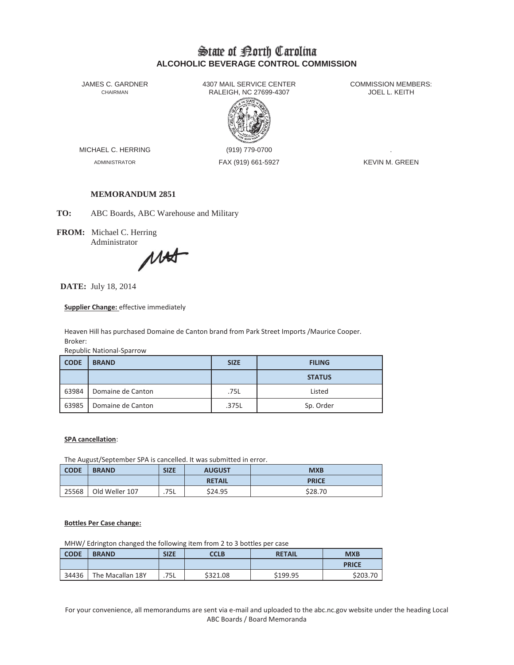# State of Borth Carolina **ALCOHOLIC BEVERAGE CONTROL COMMISSION**

JAMES C. GARDNER 4307 MAIL SERVICE CENTER<br>CHAIRMAN CHAIRMAN RALEIGH, NC 27699-4307 RALEIGH, NC 27699-4307



MICHAEL C. HERRING (919) 779-0700

ADMINISTRATOR FAX (919) 661-5927 KEVIN M. GREEN

## **MEMORANDUM 2851**

**TO:** ABC Boards, ABC Warehouse and Military

**FROM:** Michael C. Herring Administrator

MAST

**DATE:** July 18, 2014

**Supplier Change:** effective immediately

Heaven Hill has purchased Domaine de Canton brand from Park Street Imports /Maurice Cooper. Broker:

Republic National-Sparrow

| <b>CODE</b> | <b>BRAND</b>      | <b>SIZE</b> | <b>FILING</b> |
|-------------|-------------------|-------------|---------------|
|             |                   |             | <b>STATUS</b> |
| 63984       | Domaine de Canton | .75L        | Listed        |
| 63985       | Domaine de Canton | .375L       | Sp. Order     |

### **SPA cancellation**:

The August/September SPA is cancelled. It was submitted in error.

| <b>CODE</b> | <b>BRAND</b>   | <b>SIZE</b> | <b>AUGUST</b><br><b>MXB</b> |              |
|-------------|----------------|-------------|-----------------------------|--------------|
|             |                |             | <b>RETAIL</b>               | <b>PRICE</b> |
| 25568       | Old Weller 107 | .75L        | \$24.95                     | \$28.70      |

### **Bottles Per Case change:**

MHW/ Edrington changed the following item from 2 to 3 bottles per case

| <b>CODE</b> | <b>BRAND</b>     | <b>SIZE</b> | CCLB     | <b>RETAIL</b> | <b>MXB</b>   |
|-------------|------------------|-------------|----------|---------------|--------------|
|             |                  |             |          |               | <b>PRICE</b> |
| 34436       | The Macallan 18Y | .75L        | \$321.08 | \$199.95      | \$203.70     |

For your convenience, all memorandums are sent via e-mail and uploaded to the abc.nc.gov website under the heading Local ABC Boards / Board Memoranda